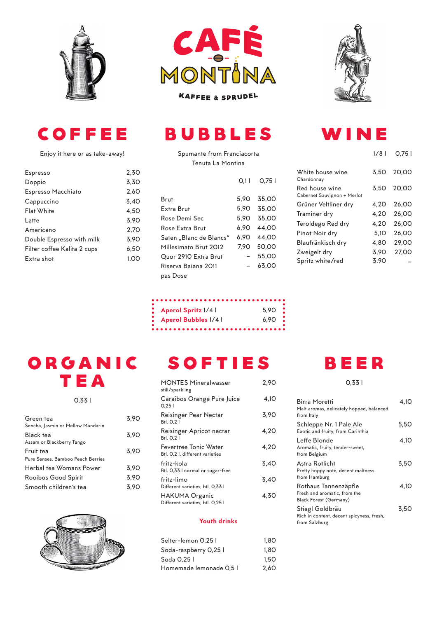







Enjoy it here or as take-away!

| <b>Espresso</b>             | 2.30 |
|-----------------------------|------|
| Doppio                      | 3,30 |
| Espresso Macchiato          | 2.60 |
| Cappuccino                  | 3.40 |
| Flat White                  | 4.50 |
| Latte                       | 3.90 |
| Americano                   | 2.70 |
| Double Espresso with milk   | 3.90 |
| Filter coffee Kalita 2 cups | 6.50 |
| Extra shot                  | 1.00 |
|                             |      |

#### bubbles

Spumante from Franciacorta Tenuta La Montina

|                                                                                                                                    | O.1 I                                        | O.75 I                                                      |
|------------------------------------------------------------------------------------------------------------------------------------|----------------------------------------------|-------------------------------------------------------------|
| Brut<br>Extra Brut<br>Rose Demi Sec<br>Rose Extra Brut<br>Saten "Blanc de Blancs"<br>Millesimato Brut 2012<br>Quor 2910 Extra Brut | 5.90<br>5.90<br>5.90<br>6,90<br>6.90<br>7.90 | 35.00<br>35.00<br>35.00<br>44.00<br>44.00<br>50.00<br>55,00 |
| Riserva Baiana 2011                                                                                                                |                                              | 63.00                                                       |
| pas Dose                                                                                                                           |                                              |                                                             |

| Aperol Spritz 1/4 l         | $5.90$ $\frac{9}{2}$ |
|-----------------------------|----------------------|
| <b>Aperol Bubbles 1/4  </b> | $6.90$ :             |
|                             |                      |

 $\ddot{\phantom{a}}$ 

## ORGANIC **TEA**

0,33 l

| Green tea                         | 3.90 |
|-----------------------------------|------|
| Sencha, Jasmin or Mellow Mandarin |      |
| Black tea                         | 3.90 |
| Assam or Blackberry Tango         |      |
| Fruit tea                         | 3.90 |
| Pure Senses, Bamboo Peach Berries |      |
| Herbal tea Womans Power           | 3.90 |
| Rooibos Good Spirit               | 3.90 |
| Smooth children's tea             | 3.90 |
|                                   |      |



# **SOFTIES**

| <b>MONTES Mineralwasser</b><br>still/sparkling           | 2.90 |
|----------------------------------------------------------|------|
| Caraibos Orange Pure Juice<br>0.251                      | 4.10 |
| Reisinger Pear Nectar<br>B <sub>fl.</sub> 0,21           | 3.90 |
| Reisinger Apricot nectar<br>B <sub>fl.</sub> 0,21        | 4.20 |
| Fevertree Tonic Water<br>Btl. 0.2 I, different varieties | 4.20 |
| fritz-kola<br>Btl. 0,33 I normal or sugar-free           | 3,40 |
| fritz-limo<br>Different varieties, btl. 0,33 l           | 3.40 |
| HAKUMA Organic<br>Different varieties, btl. 0,25 l       | 4,30 |
|                                                          |      |

#### Youth drinks

| Selter-lemon 0,25 l     | 1.80 |
|-------------------------|------|
|                         |      |
| Soda-raspberry 0,25 l   | 1.80 |
| Soda 0.25               | 1.50 |
| Homemade lemonade 0.5 l | 2.60 |

## Wine

|                                               | 1/8 L | O.75 I |
|-----------------------------------------------|-------|--------|
| White house wine<br>Chardonnay                | 3.50  | 20.00  |
| Red house wine<br>Cabernet Sauvignon + Merlot | 3.50  | 20.00  |
| Grüner Veltliner dry                          | 4,20  | 26,00  |
| Traminer dry                                  | 4.20  | 26.00  |
| Teroldego Red dry                             | 4.20  | 26,00  |
| Pinot Noir dry                                | 5.10  | 26,00  |
| Blaufränkisch dry                             | 4,80  | 29,00  |
| Zweigelt dry                                  | 3,90  | 27.00  |
| Spritz white/red                              | 3.90  |        |



0,33 l

| Birra Moretti<br>Malt aromas, delicately hopped, balanced<br>from Italy               | 4.10 |
|---------------------------------------------------------------------------------------|------|
| Schleppe Nr. 1 Pale Ale<br>Exotic and fruity, from Carinthia                          | 5,50 |
| Leffe Blonde<br>Aromatic, fruity, tender-sweet,<br>from Belgium                       | 4.10 |
| Astra Rotlicht<br>Pretty hoppy note, decent maltness<br>from Hamburg                  | 3,50 |
| Rothaus Tannenzäpfle<br>Fresh and aromatic, from the<br><b>Black Forest (Germany)</b> | 4.10 |
| Stiegl Goldbräu<br>Rich in content, decent spicyness, fresh,<br>from Salzburg         | 3,50 |